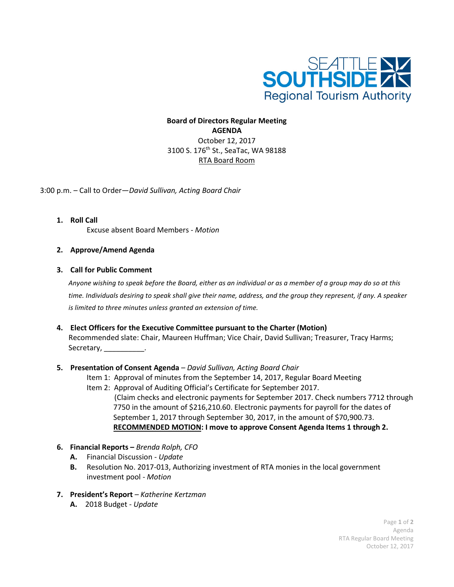

## **Board of Directors Regular Meeting AGENDA** October 12, 2017 3100 S. 176th St., SeaTac, WA 98188 RTA Board Room

3:00 p.m. – Call to Order—*David Sullivan, Acting Board Chair* 

**1. Roll Call** Excuse absent Board Members *- Motion*

## **2. Approve/Amend Agenda**

## **3. Call for Public Comment**

*Anyone wishing to speak before the Board, either as an individual or as a member of a group may do so at this time. Individuals desiring to speak shall give their name, address, and the group they represent, if any. A speaker is limited to three minutes unless granted an extension of time.*

**4. Elect Officers for the Executive Committee pursuant to the Charter (Motion)** Recommended slate: Chair, Maureen Huffman; Vice Chair, David Sullivan; Treasurer, Tracy Harms; Secretary, the control of the secretary, the control of the control of the secretary of the control of the control of the control of the control of the control of the control of the control of the control of the control of

## **5. Presentation of Consent Agenda** *– David Sullivan, Acting Board Chair*

Item 1: Approval of minutes from the September 14, 2017, Regular Board Meeting Item 2: Approval of Auditing Official's Certificate for September 2017.

 (Claim checks and electronic payments for September 2017. Check numbers 7712 through 7750 in the amount of \$216,210.60. Electronic payments for payroll for the dates of September 1, 2017 through September 30, 2017, in the amount of \$70,900.73. **RECOMMENDED MOTION: I move to approve Consent Agenda Items 1 through 2.**

- **6. Financial Reports** *Brenda Rolph, CFO*
	- **A.** Financial Discussion *Update*
	- **B.** Resolution No. 2017-013, Authorizing investment of RTA monies in the local government investment pool - *Motion*
- **7. President's Report**  *Katherine Kertzman*
	- **A.** 2018 Budget *Update*

Page **1** of **2**  Agenda RTA Regular Board Meeting October 12, 2017